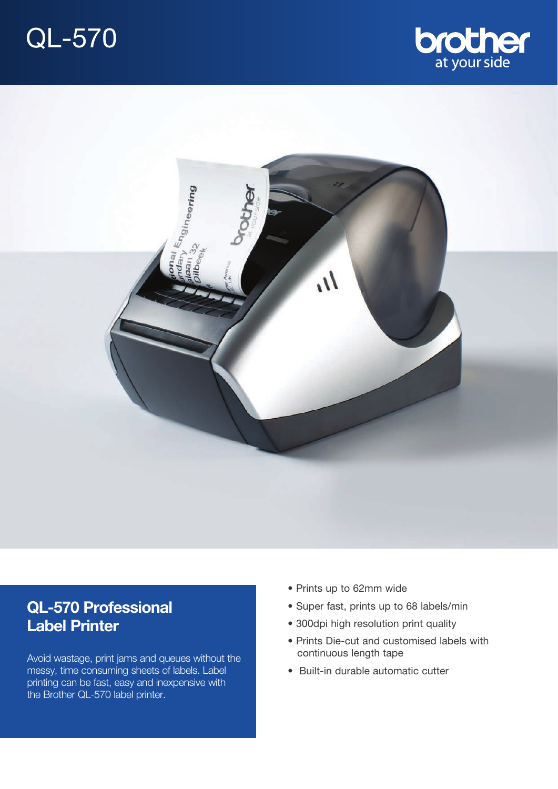





# **QL-570 Professional Label Printer**

Avoid wastage, print jams and queues without the messy, time consuming sheets of labels. Label printing can be fast, easy and inexpensive with the Brother QL-570 label printer.

- Prints up to 62mm wide
- Super fast, prints up to 68 labels/min
- 300dpi high resolution print quality
- Prints Die-cut and customised labels with continuous length tape
- Built-in durable automatic cutter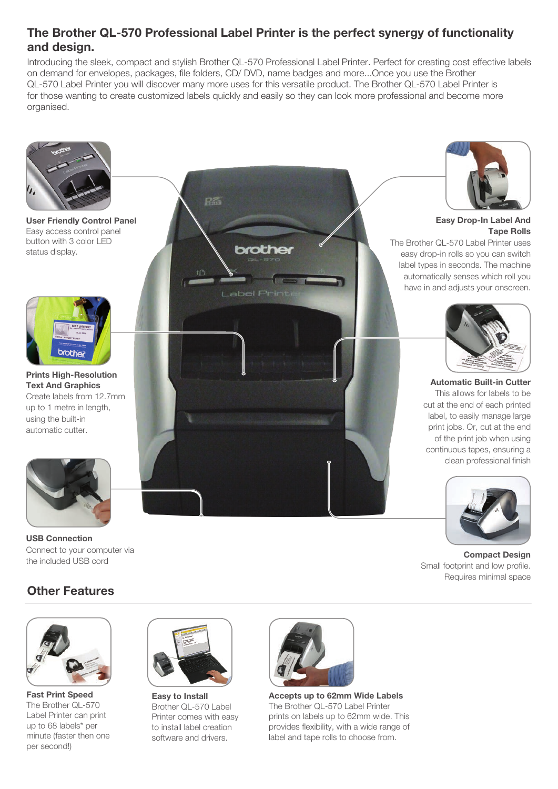### **The Brother QL-570 Professional Label Printer is the perfect synergy of functionality and design.**

Introducing the sleek, compact and stylish Brother QL-570 Professional Label Printer. Perfect for creating cost effective labels on demand for envelopes, packages, file folders, CD/ DVD, name badges and more...Once you use the Brother QL-570 Label Printer you will discover many more uses for this versatile product. The Brother QL-570 Label Printer is for those wanting to create customized labels quickly and easily so they can look more professional and become more organised.



**USB Connection** Connect to your computer via the included USB cord

### **Other Features**



**Fast Print Speed** The Brother QL-570 Label Printer can print up to 68 labels\* per minute (faster then one per second!)



**Easy to Install** Brother QL-570 Label Printer comes with easy to install label creation software and drivers.



**Accepts up to 62mm Wide Labels** The Brother QL-570 Label Printer prints on labels up to 62mm wide. This provides flexibility, with a wide range of label and tape rolls to choose from.





**Compact Design**  Small footprint and low profile. Requires minimal space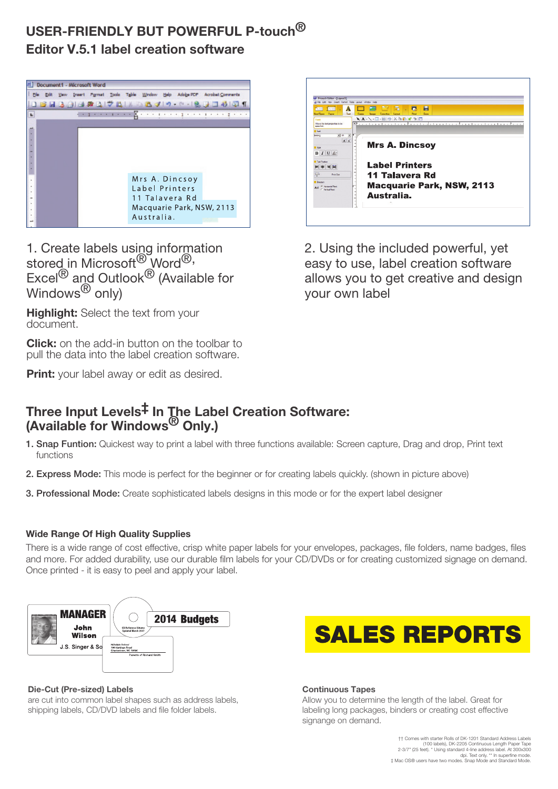## **USER-FRIENDLY BUT POWERFUL P-touch® Editor V.5.1 label creation software**



1. Create labels using information stored in Microsoft<sup>®</sup> Word<sup>®,</sup> Excel<sup>®</sup> and Outlook<sup>®</sup> (Available for  $W$ indows $^{\circledR}$  only)

**Highlight:** Select the text from your document.

**Click:** on the add-in button on the toolbar to pull the data into the label creation software.

**Print:** your label away or edit as desired.

## **Three Input Levels‡ In The Label Creation Software: (Available for Windows® Only.)**

- 1. Snap Funtion: Quickest way to print a label with three functions available: Screen capture, Drag and drop, Print text functions
- 2. Express Mode: This mode is perfect for the beginner or for creating labels quickly. (shown in picture above)
- 3. Professional Mode: Create sophisticated labels designs in this mode or for the expert label designer

### **Wide Range Of High Quality Supplies**

There is a wide range of cost effective, crisp white paper labels for your envelopes, packages, file folders, name badges, files and more. For added durability, use our durable film labels for your CD/DVDs or for creating customized signage on demand. Once printed - it is easy to peel and apply your label.



#### **Die-Cut (Pre-sized) Labels**

are cut into common label shapes such as address labels, shipping labels, CD/DVD labels and file folder labels.



2. Using the included powerful, yet easy to use, label creation software allows you to get creative and design your own label



**Continuous Tapes** 

Allow you to determine the length of the label. Great for labeling long packages, binders or creating cost effective signange on demand.

> †† Comes with starter Rolls of DK-1201 Standard Address Labels (100 labels), DK-2205 Continuous Length Paper Tape 2-3/7" (25 feet). \* Using standard 4-line address label. At 300x300 dpi. Text only. \*\* In superfine mode. ‡ Mac OS® users have two modes. Snap Mode and Standard Mode.